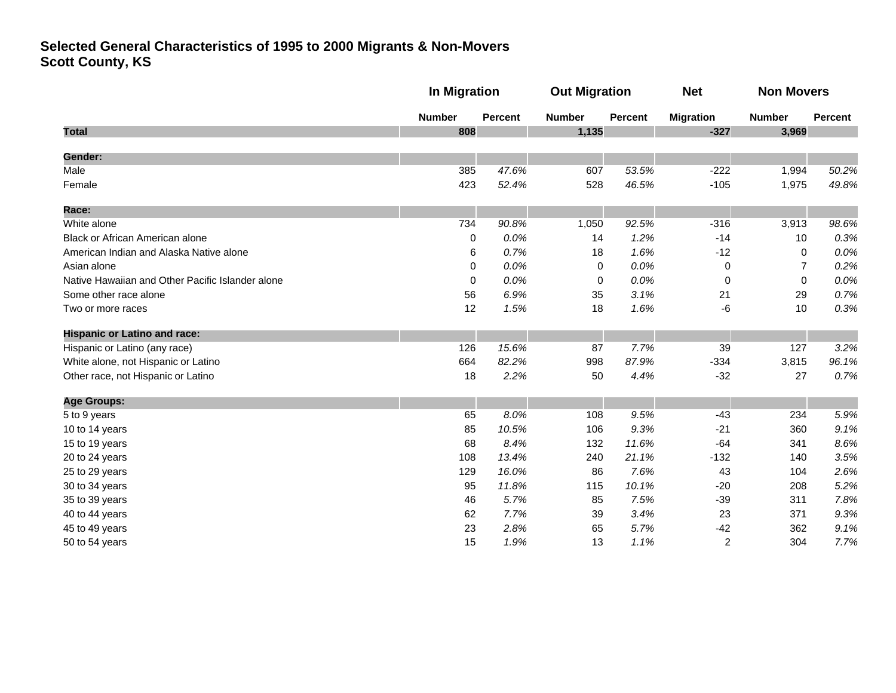|                                                  |               | <b>In Migration</b> |               | <b>Out Migration</b> |                  | <b>Non Movers</b> |                |
|--------------------------------------------------|---------------|---------------------|---------------|----------------------|------------------|-------------------|----------------|
|                                                  | <b>Number</b> | <b>Percent</b>      | <b>Number</b> | <b>Percent</b>       | <b>Migration</b> | <b>Number</b>     | <b>Percent</b> |
| <b>Total</b>                                     | 808           |                     | 1,135         |                      | $-327$           | 3,969             |                |
| Gender:                                          |               |                     |               |                      |                  |                   |                |
| Male                                             | 385           | 47.6%               | 607           | 53.5%                | $-222$           | 1,994             | 50.2%          |
| Female                                           | 423           | 52.4%               | 528           | 46.5%                | $-105$           | 1,975             | 49.8%          |
| Race:                                            |               |                     |               |                      |                  |                   |                |
| White alone                                      | 734           | 90.8%               | 1,050         | 92.5%                | $-316$           | 3,913             | 98.6%          |
| Black or African American alone                  | 0             | 0.0%                | 14            | 1.2%                 | $-14$            | 10                | 0.3%           |
| American Indian and Alaska Native alone          | 6             | 0.7%                | 18            | 1.6%                 | $-12$            | 0                 | 0.0%           |
| Asian alone                                      | 0             | 0.0%                | 0             | 0.0%                 | 0                | $\overline{7}$    | 0.2%           |
| Native Hawaiian and Other Pacific Islander alone | 0             | 0.0%                | 0             | 0.0%                 | 0                | 0                 | 0.0%           |
| Some other race alone                            | 56            | 6.9%                | 35            | 3.1%                 | 21               | 29                | 0.7%           |
| Two or more races                                | 12            | 1.5%                | 18            | 1.6%                 | -6               | 10                | 0.3%           |
| <b>Hispanic or Latino and race:</b>              |               |                     |               |                      |                  |                   |                |
| Hispanic or Latino (any race)                    | 126           | 15.6%               | 87            | 7.7%                 | 39               | 127               | 3.2%           |
| White alone, not Hispanic or Latino              | 664           | 82.2%               | 998           | 87.9%                | $-334$           | 3,815             | 96.1%          |
| Other race, not Hispanic or Latino               | 18            | 2.2%                | 50            | 4.4%                 | $-32$            | 27                | 0.7%           |
| <b>Age Groups:</b>                               |               |                     |               |                      |                  |                   |                |
| 5 to 9 years                                     | 65            | 8.0%                | 108           | 9.5%                 | $-43$            | 234               | 5.9%           |
| 10 to 14 years                                   | 85            | 10.5%               | 106           | 9.3%                 | $-21$            | 360               | 9.1%           |
| 15 to 19 years                                   | 68            | 8.4%                | 132           | 11.6%                | $-64$            | 341               | 8.6%           |
| 20 to 24 years                                   | 108           | 13.4%               | 240           | 21.1%                | $-132$           | 140               | 3.5%           |
| 25 to 29 years                                   | 129           | 16.0%               | 86            | 7.6%                 | 43               | 104               | 2.6%           |
| 30 to 34 years                                   | 95            | 11.8%               | 115           | 10.1%                | $-20$            | 208               | 5.2%           |
| 35 to 39 years                                   | 46            | 5.7%                | 85            | 7.5%                 | $-39$            | 311               | 7.8%           |
| 40 to 44 years                                   | 62            | 7.7%                | 39            | 3.4%                 | 23               | 371               | 9.3%           |
| 45 to 49 years                                   | 23            | 2.8%                | 65            | 5.7%                 | $-42$            | 362               | 9.1%           |
| 50 to 54 years                                   | 15            | 1.9%                | 13            | 1.1%                 | 2                | 304               | 7.7%           |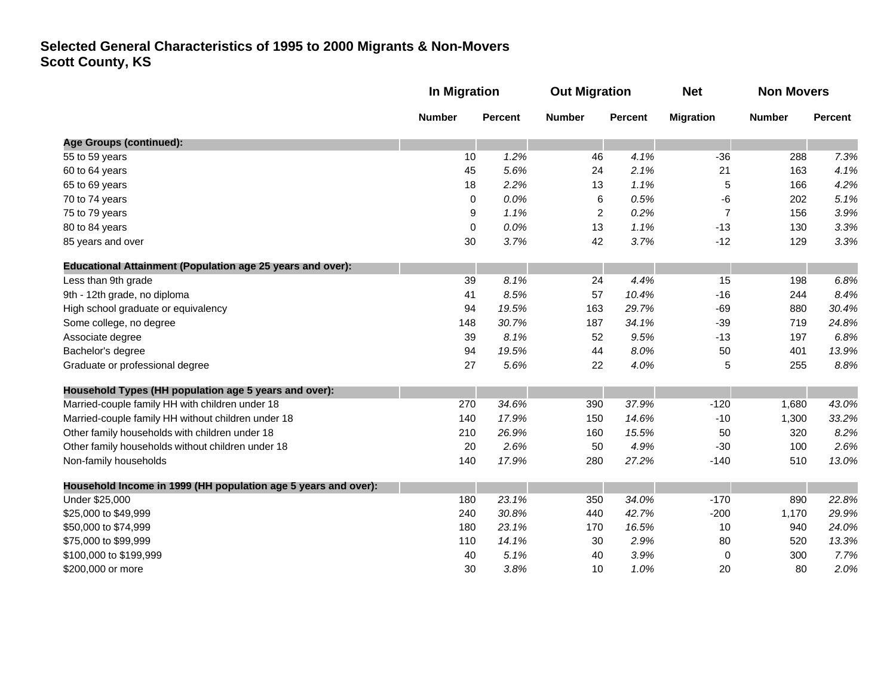|                                                                   | <b>In Migration</b> |                | <b>Out Migration</b> |                | <b>Net</b>       | <b>Non Movers</b> |                |
|-------------------------------------------------------------------|---------------------|----------------|----------------------|----------------|------------------|-------------------|----------------|
|                                                                   | <b>Number</b>       | <b>Percent</b> | <b>Number</b>        | <b>Percent</b> | <b>Migration</b> | <b>Number</b>     | <b>Percent</b> |
| <b>Age Groups (continued):</b>                                    |                     |                |                      |                |                  |                   |                |
| 55 to 59 years                                                    | 10                  | 1.2%           | 46                   | 4.1%           | $-36$            | 288               | 7.3%           |
| 60 to 64 years                                                    | 45                  | 5.6%           | 24                   | 2.1%           | 21               | 163               | 4.1%           |
| 65 to 69 years                                                    | 18                  | 2.2%           | 13                   | 1.1%           | 5                | 166               | 4.2%           |
| 70 to 74 years                                                    | $\mathbf 0$         | 0.0%           | 6                    | 0.5%           | -6               | 202               | 5.1%           |
| 75 to 79 years                                                    | 9                   | 1.1%           | $\overline{c}$       | 0.2%           | $\overline{7}$   | 156               | 3.9%           |
| 80 to 84 years                                                    | 0                   | 0.0%           | 13                   | 1.1%           | $-13$            | 130               | 3.3%           |
| 85 years and over                                                 | 30                  | 3.7%           | 42                   | 3.7%           | $-12$            | 129               | 3.3%           |
| <b>Educational Attainment (Population age 25 years and over):</b> |                     |                |                      |                |                  |                   |                |
| Less than 9th grade                                               | 39                  | 8.1%           | 24                   | 4.4%           | 15               | 198               | 6.8%           |
| 9th - 12th grade, no diploma                                      | 41                  | 8.5%           | 57                   | 10.4%          | $-16$            | 244               | 8.4%           |
| High school graduate or equivalency                               | 94                  | 19.5%          | 163                  | 29.7%          | $-69$            | 880               | 30.4%          |
| Some college, no degree                                           | 148                 | 30.7%          | 187                  | 34.1%          | $-39$            | 719               | 24.8%          |
| Associate degree                                                  | 39                  | 8.1%           | 52                   | 9.5%           | $-13$            | 197               | 6.8%           |
| Bachelor's degree                                                 | 94                  | 19.5%          | 44                   | 8.0%           | 50               | 401               | 13.9%          |
| Graduate or professional degree                                   | 27                  | 5.6%           | 22                   | 4.0%           | 5                | 255               | 8.8%           |
| Household Types (HH population age 5 years and over):             |                     |                |                      |                |                  |                   |                |
| Married-couple family HH with children under 18                   | 270                 | 34.6%          | 390                  | 37.9%          | $-120$           | 1,680             | 43.0%          |
| Married-couple family HH without children under 18                | 140                 | 17.9%          | 150                  | 14.6%          | $-10$            | 1,300             | 33.2%          |
| Other family households with children under 18                    | 210                 | 26.9%          | 160                  | 15.5%          | 50               | 320               | 8.2%           |
| Other family households without children under 18                 | 20                  | 2.6%           | 50                   | 4.9%           | $-30$            | 100               | 2.6%           |
| Non-family households                                             | 140                 | 17.9%          | 280                  | 27.2%          | $-140$           | 510               | 13.0%          |
| Household Income in 1999 (HH population age 5 years and over):    |                     |                |                      |                |                  |                   |                |
| Under \$25,000                                                    | 180                 | 23.1%          | 350                  | 34.0%          | $-170$           | 890               | 22.8%          |
| \$25,000 to \$49,999                                              | 240                 | 30.8%          | 440                  | 42.7%          | $-200$           | 1,170             | 29.9%          |
| \$50,000 to \$74,999                                              | 180                 | 23.1%          | 170                  | 16.5%          | 10               | 940               | 24.0%          |
| \$75,000 to \$99,999                                              | 110                 | 14.1%          | 30                   | 2.9%           | 80               | 520               | 13.3%          |
| \$100,000 to \$199,999                                            | 40                  | 5.1%           | 40                   | 3.9%           | 0                | 300               | 7.7%           |
| \$200,000 or more                                                 | 30                  | 3.8%           | 10                   | 1.0%           | 20               | 80                | 2.0%           |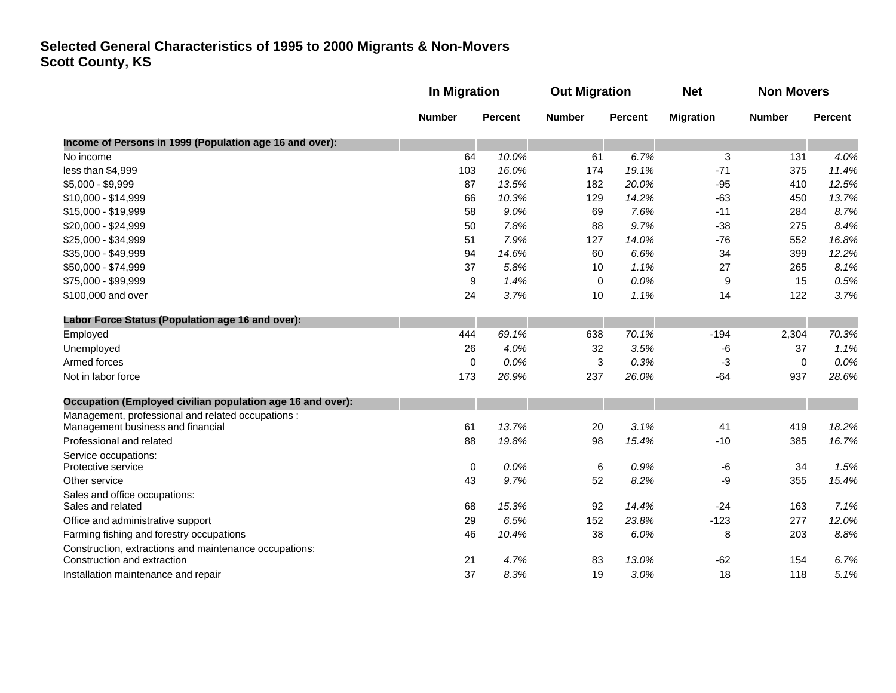|                                                                                       |               | In Migration   |               | <b>Out Migration</b> |                  | <b>Non Movers</b> |                |
|---------------------------------------------------------------------------------------|---------------|----------------|---------------|----------------------|------------------|-------------------|----------------|
|                                                                                       | <b>Number</b> | <b>Percent</b> | <b>Number</b> | <b>Percent</b>       | <b>Migration</b> | <b>Number</b>     | <b>Percent</b> |
| Income of Persons in 1999 (Population age 16 and over):                               |               |                |               |                      |                  |                   |                |
| No income                                                                             | 64            | 10.0%          | 61            | 6.7%                 | 3                | 131               | 4.0%           |
| less than \$4,999                                                                     | 103           | 16.0%          | 174           | 19.1%                | $-71$            | 375               | 11.4%          |
| \$5,000 - \$9,999                                                                     | 87            | 13.5%          | 182           | 20.0%                | $-95$            | 410               | 12.5%          |
| \$10,000 - \$14,999                                                                   | 66            | 10.3%          | 129           | 14.2%                | $-63$            | 450               | 13.7%          |
| \$15,000 - \$19,999                                                                   | 58            | 9.0%           | 69            | 7.6%                 | $-11$            | 284               | 8.7%           |
| \$20,000 - \$24,999                                                                   | 50            | 7.8%           | 88            | 9.7%                 | $-38$            | 275               | 8.4%           |
| \$25,000 - \$34,999                                                                   | 51            | 7.9%           | 127           | 14.0%                | $-76$            | 552               | 16.8%          |
| \$35,000 - \$49,999                                                                   | 94            | 14.6%          | 60            | 6.6%                 | 34               | 399               | 12.2%          |
| \$50,000 - \$74,999                                                                   | 37            | 5.8%           | 10            | 1.1%                 | 27               | 265               | 8.1%           |
| \$75,000 - \$99,999                                                                   | 9             | 1.4%           | 0             | 0.0%                 | 9                | 15                | 0.5%           |
| \$100,000 and over                                                                    | 24            | 3.7%           | 10            | 1.1%                 | 14               | 122               | 3.7%           |
| Labor Force Status (Population age 16 and over):                                      |               |                |               |                      |                  |                   |                |
| Employed                                                                              | 444           | 69.1%          | 638           | 70.1%                | $-194$           | 2,304             | 70.3%          |
| Unemployed                                                                            | 26            | 4.0%           | 32            | 3.5%                 | -6               | 37                | 1.1%           |
| Armed forces                                                                          | $\mathbf 0$   | 0.0%           | 3             | 0.3%                 | -3               | $\mathbf 0$       | 0.0%           |
| Not in labor force                                                                    | 173           | 26.9%          | 237           | 26.0%                | $-64$            | 937               | 28.6%          |
| Occupation (Employed civilian population age 16 and over):                            |               |                |               |                      |                  |                   |                |
| Management, professional and related occupations :                                    |               |                |               |                      |                  |                   |                |
| Management business and financial                                                     | 61            | 13.7%          | 20            | 3.1%                 | 41               | 419               | 18.2%          |
| Professional and related                                                              | 88            | 19.8%          | 98            | 15.4%                | $-10$            | 385               | 16.7%          |
| Service occupations:                                                                  |               |                |               |                      |                  |                   |                |
| Protective service                                                                    | $\mathbf 0$   | 0.0%           | 6             | 0.9%                 | -6               | 34                | 1.5%           |
| Other service                                                                         | 43            | 9.7%           | 52            | 8.2%                 | -9               | 355               | 15.4%          |
| Sales and office occupations:                                                         |               |                |               |                      |                  |                   |                |
| Sales and related                                                                     | 68            | 15.3%          | 92            | 14.4%                | $-24$            | 163               | 7.1%           |
| Office and administrative support                                                     | 29            | 6.5%           | 152           | 23.8%                | $-123$           | 277               | 12.0%          |
| Farming fishing and forestry occupations                                              | 46            | 10.4%          | 38            | 6.0%                 | 8                | 203               | 8.8%           |
| Construction, extractions and maintenance occupations:<br>Construction and extraction | 21            | 4.7%           | 83            | 13.0%                | $-62$            | 154               | 6.7%           |
|                                                                                       | 37            | 8.3%           | 19            | 3.0%                 | 18               | 118               | 5.1%           |
| Installation maintenance and repair                                                   |               |                |               |                      |                  |                   |                |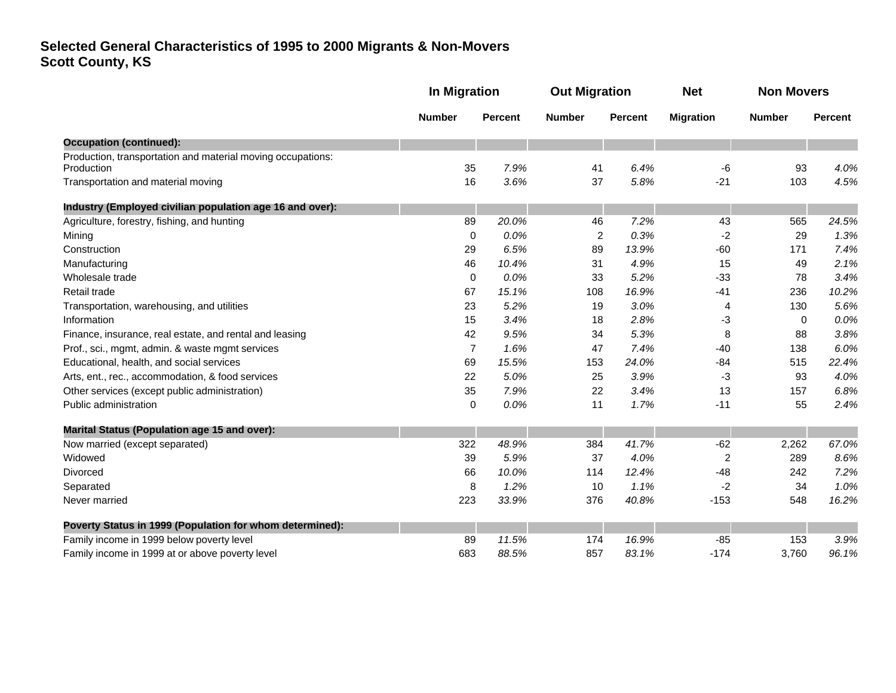|                                                                           | <b>In Migration</b> |                | <b>Out Migration</b> |                | <b>Net</b>       | <b>Non Movers</b> |                |
|---------------------------------------------------------------------------|---------------------|----------------|----------------------|----------------|------------------|-------------------|----------------|
|                                                                           | <b>Number</b>       | <b>Percent</b> | <b>Number</b>        | <b>Percent</b> | <b>Migration</b> | <b>Number</b>     | <b>Percent</b> |
| <b>Occupation (continued):</b>                                            |                     |                |                      |                |                  |                   |                |
| Production, transportation and material moving occupations:<br>Production | 35                  | 7.9%           | 41                   | 6.4%           | -6               | 93                | 4.0%           |
| Transportation and material moving                                        | 16                  | 3.6%           | 37                   | 5.8%           | $-21$            | 103               | 4.5%           |
| Industry (Employed civilian population age 16 and over):                  |                     |                |                      |                |                  |                   |                |
| Agriculture, forestry, fishing, and hunting                               | 89                  | 20.0%          | 46                   | 7.2%           | 43               | 565               | 24.5%          |
| Mining                                                                    | 0                   | 0.0%           | 2                    | 0.3%           | -2               | 29                | 1.3%           |
| Construction                                                              | 29                  | 6.5%           | 89                   | 13.9%          | -60              | 171               | 7.4%           |
| Manufacturing                                                             | 46                  | 10.4%          | 31                   | 4.9%           | 15               | 49                | 2.1%           |
| Wholesale trade                                                           | 0                   | 0.0%           | 33                   | 5.2%           | $-33$            | 78                | 3.4%           |
| Retail trade                                                              | 67                  | 15.1%          | 108                  | 16.9%          | $-41$            | 236               | 10.2%          |
| Transportation, warehousing, and utilities                                | 23                  | 5.2%           | 19                   | 3.0%           | 4                | 130               | 5.6%           |
| Information                                                               | 15                  | 3.4%           | 18                   | 2.8%           | -3               | 0                 | 0.0%           |
| Finance, insurance, real estate, and rental and leasing                   | 42                  | 9.5%           | 34                   | 5.3%           | 8                | 88                | 3.8%           |
| Prof., sci., mgmt, admin. & waste mgmt services                           | $\overline{7}$      | 1.6%           | 47                   | 7.4%           | $-40$            | 138               | 6.0%           |
| Educational, health, and social services                                  | 69                  | 15.5%          | 153                  | 24.0%          | $-84$            | 515               | 22.4%          |
| Arts, ent., rec., accommodation, & food services                          | 22                  | 5.0%           | 25                   | 3.9%           | -3               | 93                | 4.0%           |
| Other services (except public administration)                             | 35                  | 7.9%           | 22                   | 3.4%           | 13               | 157               | 6.8%           |
| Public administration                                                     | 0                   | 0.0%           | 11                   | 1.7%           | $-11$            | 55                | 2.4%           |
| Marital Status (Population age 15 and over):                              |                     |                |                      |                |                  |                   |                |
| Now married (except separated)                                            | 322                 | 48.9%          | 384                  | 41.7%          | $-62$            | 2,262             | 67.0%          |
| Widowed                                                                   | 39                  | 5.9%           | 37                   | 4.0%           | $\overline{c}$   | 289               | 8.6%           |
| Divorced                                                                  | 66                  | 10.0%          | 114                  | 12.4%          | $-48$            | 242               | 7.2%           |
| Separated                                                                 | 8                   | 1.2%           | 10                   | 1.1%           | -2               | 34                | 1.0%           |
| Never married                                                             | 223                 | 33.9%          | 376                  | 40.8%          | $-153$           | 548               | 16.2%          |
| Poverty Status in 1999 (Population for whom determined):                  |                     |                |                      |                |                  |                   |                |
| Family income in 1999 below poverty level                                 | 89                  | 11.5%          | 174                  | 16.9%          | $-85$            | 153               | 3.9%           |
| Family income in 1999 at or above poverty level                           | 683                 | 88.5%          | 857                  | 83.1%          | $-174$           | 3,760             | 96.1%          |